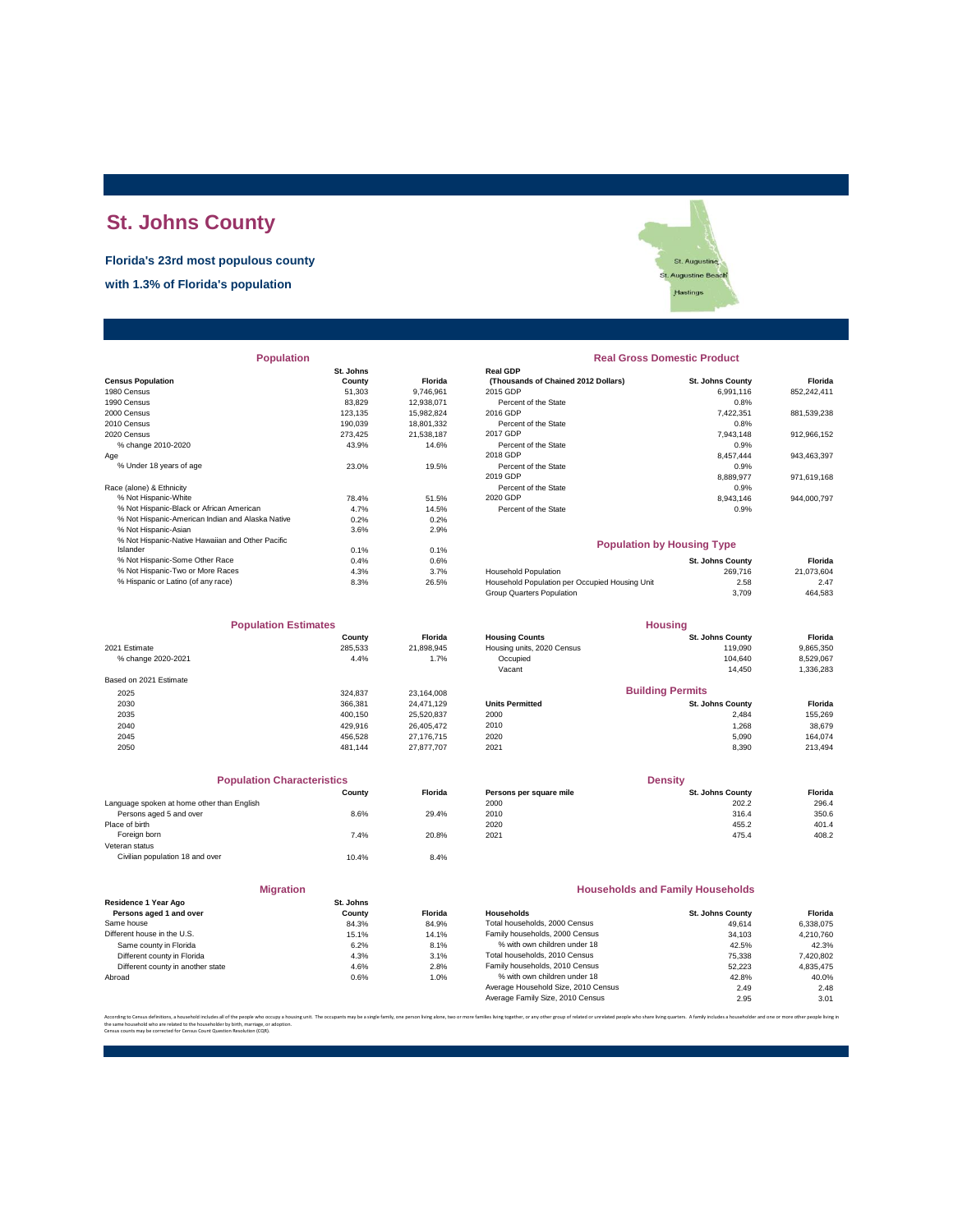# **St. Johns County**

**Florida's 23rd most populous county**

**with 1.3% of Florida's population**



| <b>Population</b>                                |           |            | <b>Real Gross Domestic Product</b>             |                         |             |  |
|--------------------------------------------------|-----------|------------|------------------------------------------------|-------------------------|-------------|--|
|                                                  | St. Johns |            | <b>Real GDP</b>                                |                         |             |  |
| <b>Census Population</b>                         | County    | Florida    | (Thousands of Chained 2012 Dollars)            | <b>St. Johns County</b> | Florida     |  |
| 1980 Census                                      | 51,303    | 9,746,961  | 2015 GDP                                       | 6,991,116               | 852,242,411 |  |
| 1990 Census                                      | 83.829    | 12.938.071 | Percent of the State                           | 0.8%                    |             |  |
| 2000 Census                                      | 123.135   | 15,982,824 | 2016 GDP                                       | 7,422,351               | 881,539,238 |  |
| 2010 Census                                      | 190,039   | 18,801,332 | Percent of the State                           | 0.8%                    |             |  |
| 2020 Census                                      | 273.425   | 21,538,187 | 2017 GDP                                       | 7.943.148               | 912,966,152 |  |
| % change 2010-2020                               | 43.9%     | 14.6%      | Percent of the State                           | 0.9%                    |             |  |
| Age                                              |           |            | 2018 GDP                                       | 8,457,444               | 943,463,397 |  |
| % Under 18 years of age                          | 23.0%     | 19.5%      | Percent of the State                           | 0.9%                    |             |  |
|                                                  |           |            | 2019 GDP                                       | 8,889,977               | 971,619,168 |  |
| Race (alone) & Ethnicity                         |           |            | Percent of the State                           | 0.9%                    |             |  |
| % Not Hispanic-White                             | 78.4%     | 51.5%      | 2020 GDP                                       | 8,943,146               | 944,000,797 |  |
| % Not Hispanic-Black or African American         | 4.7%      | 14.5%      | Percent of the State                           | 0.9%                    |             |  |
| % Not Hispanic-American Indian and Alaska Native | 0.2%      | 0.2%       |                                                |                         |             |  |
| % Not Hispanic-Asian                             | 3.6%      | 2.9%       |                                                |                         |             |  |
| % Not Hispanic-Native Hawaiian and Other Pacific |           |            | <b>Population by Housing Type</b>              |                         |             |  |
| Islander                                         | 0.1%      | 0.1%       |                                                |                         |             |  |
| % Not Hispanic-Some Other Race                   | 0.4%      | 0.6%       |                                                | <b>St. Johns County</b> | Florida     |  |
| % Not Hispanic-Two or More Races                 | 4.3%      | 3.7%       | <b>Household Population</b>                    | 269,716                 | 21,073,604  |  |
| % Hispanic or Latino (of any race)               | 8.3%      | 26.5%      | Household Population per Occupied Housing Unit | 2.58                    | 2.47        |  |

| <b>Population Estimates</b> |         | <b>Housing</b> |                            |                         |           |
|-----------------------------|---------|----------------|----------------------------|-------------------------|-----------|
|                             | County  | <b>Florida</b> | <b>Housing Counts</b>      | <b>St. Johns County</b> | Florida   |
| 2021 Estimate               | 285,533 | 21,898,945     | Housing units, 2020 Census | 119,090                 | 9,865,350 |
| % change 2020-2021          | 4.4%    | 1.7%           | Occupied                   | 104.640                 | 8,529,067 |
|                             |         |                | Vacant                     | 14.450                  | 1,336,283 |
| Based on 2021 Estimate      |         |                |                            |                         |           |
| 2025                        | 324.837 | 23,164,008     |                            | <b>Building Permits</b> |           |
| 2030                        | 366,381 | 24.471.129     | <b>Units Permitted</b>     | <b>St. Johns County</b> | Florida   |
| 2035                        | 400.150 | 25,520,837     | 2000                       | 2.484                   | 155,269   |
| 2040                        | 429.916 | 26,405,472     | 2010                       | 1,268                   | 38,679    |
| 2045                        | 456.528 | 27,176,715     | 2020                       | 5.090                   | 164.074   |
| 2050                        | 481.144 | 27.877.707     | 2021                       | 8,390                   | 213,494   |

| <b>Population Characteristics</b>          |        |         |
|--------------------------------------------|--------|---------|
|                                            | County | Florida |
| Language spoken at home other than English |        |         |
| Persons aged 5 and over                    | 8.6%   | 29.4%   |
| Place of birth                             |        |         |
| Foreign born                               | 7.4%   | 20.8%   |
| Veteran status                             |        |         |
| Civilian population 18 and over            | 10.4%  | 8.4%    |

| <b>Migration</b>                                |                     |                |
|-------------------------------------------------|---------------------|----------------|
| Residence 1 Year Ago<br>Persons aged 1 and over | St. Johns<br>County | Flor           |
| Same house                                      | 84.3%               | 84.            |
| Different house in the U.S.                     | 15.1%               | 14.            |
| Same county in Florida                          | 6.2%                | 8.             |
| Different county in Florida                     | 4.3%                | 3.             |
| Different county in another state               | 4.6%                | $\mathfrak{D}$ |
| Abroad                                          | 0.6%                | 1.             |

| <b>Real Gross Domestic Product</b>                     |                         |             |
|--------------------------------------------------------|-------------------------|-------------|
| <b>Real GDP</b><br>(Thousands of Chained 2012 Dollars) | <b>St. Johns County</b> | Florida     |
| 2015 GDP                                               | 6.991.116               | 852.242.411 |
| Percent of the State                                   | 0.8%                    |             |
| 2016 GDP                                               | 7.422.351               | 881.539.238 |
| Percent of the State                                   | 0.8%                    |             |
| 2017 GDP                                               | 7.943.148               | 912.966.152 |
| Percent of the State                                   | 0.9%                    |             |
| 2018 GDP                                               | 8.457.444               | 943.463.397 |
| Percent of the State                                   | 0.9%                    |             |
| 2019 GDP                                               | 8.889.977               | 971.619.168 |
| Percent of the State                                   | 0.9%                    |             |
| 2020 GDP                                               | 8.943.146               | 944.000.797 |
| Percent of the State                                   | 0.9%                    |             |

## **Population by Housing Type**

| % Not Hispanic-Some Other Race     | 0.4% | 0.6%  |                                                | <b>St. Johns County</b> | Florida    |
|------------------------------------|------|-------|------------------------------------------------|-------------------------|------------|
| % Not Hispanic-Two or More Races   | 4.3% | 3.7%  | <b>Household Population</b>                    | 269.716                 | 21.073.604 |
| % Hispanic or Latino (of any race) | 8.3% | 26.5% | Household Population per Occupied Housing Unit | 2.58                    | 2.47       |
|                                    |      |       | Group Quarters Population                      | 3.709                   | 464,583    |
|                                    |      |       |                                                |                         |            |

| <b>Population Estimates</b> |         | <b>Housing</b> |                            |                         |           |
|-----------------------------|---------|----------------|----------------------------|-------------------------|-----------|
|                             | County  | <b>Florida</b> | <b>Housing Counts</b>      | <b>St. Johns County</b> | Florida   |
| 2021 Estimate               | 285.533 | 21,898,945     | Housing units, 2020 Census | 119,090                 | 9,865,350 |
| % change 2020-2021          | 4.4%    | 1.7%           | Occupied                   | 104.640                 | 8,529,067 |
|                             |         |                | Vacant                     | 14.450                  | 1,336,283 |
| Based on 2021 Estimate      |         |                |                            |                         |           |
| 2025                        | 324.837 | 23.164.008     |                            | <b>Building Permits</b> |           |
| 2030                        | 366,381 | 24.471.129     | <b>Units Permitted</b>     | <b>St. Johns County</b> | Florida   |
| 2035                        | 400.150 | 25.520.837     | 2000                       | 2.484                   | 155,269   |
| 2040                        | 429.916 | 26.405.472     | 2010                       | 1.268                   | 38,679    |
| 2045                        | 456.528 | 27.176.715     | 2020                       | 5.090                   | 164.074   |
|                             |         |                |                            |                         |           |

| <b>Population Characteristics</b>          |        |                | <b>Density</b>          |                         |         |
|--------------------------------------------|--------|----------------|-------------------------|-------------------------|---------|
|                                            | County | <b>Florida</b> | Persons per square mile | <b>St. Johns County</b> | Florida |
| Language spoken at home other than English |        |                | 2000                    | 202.2                   | 296.4   |
| Persons aged 5 and over                    | 8.6%   | 29.4%          | 2010                    | 316.4                   | 350.6   |
| Place of birth                             |        |                | 2020                    | 455.2                   | 401.4   |
| Foreign born                               | 7.4%   | 20.8%          | 2021                    | 475.4                   | 408.2   |
|                                            |        |                |                         |                         |         |

## **Households and Family Households**

| <b>St. Jonns</b> |                |                                     |                         |           |
|------------------|----------------|-------------------------------------|-------------------------|-----------|
| County           | <b>Florida</b> | Households                          | <b>St. Johns County</b> | Florida   |
| 84.3%            | 84.9%          | Total households, 2000 Census       | 49.614                  | 6.338.075 |
| 15.1%            | 14.1%          | Family households, 2000 Census      | 34.103                  | 4.210.760 |
| 6.2%             | 8.1%           | % with own children under 18        | 42.5%                   | 42.3%     |
| 4.3%             | 3.1%           | Total households, 2010 Census       | 75,338                  | 7.420.802 |
| 4.6%             | 2.8%           | Family households, 2010 Census      | 52.223                  | 4.835.475 |
| 0.6%             | 1.0%           | % with own children under 18        | 42.8%                   | 40.0%     |
|                  |                | Average Household Size, 2010 Census | 2.49                    | 2.48      |
|                  |                | Average Family Size, 2010 Census    | 2.95                    | 3.01      |
|                  |                |                                     |                         |           |

.<br>The same of the proup of related or unrelated people who share living quarters. A family includes a householder and one or m the same household who are related to the householder by birth, marriage, or adoption. Census counts may be corrected for Census Count Question Resolution (CQR).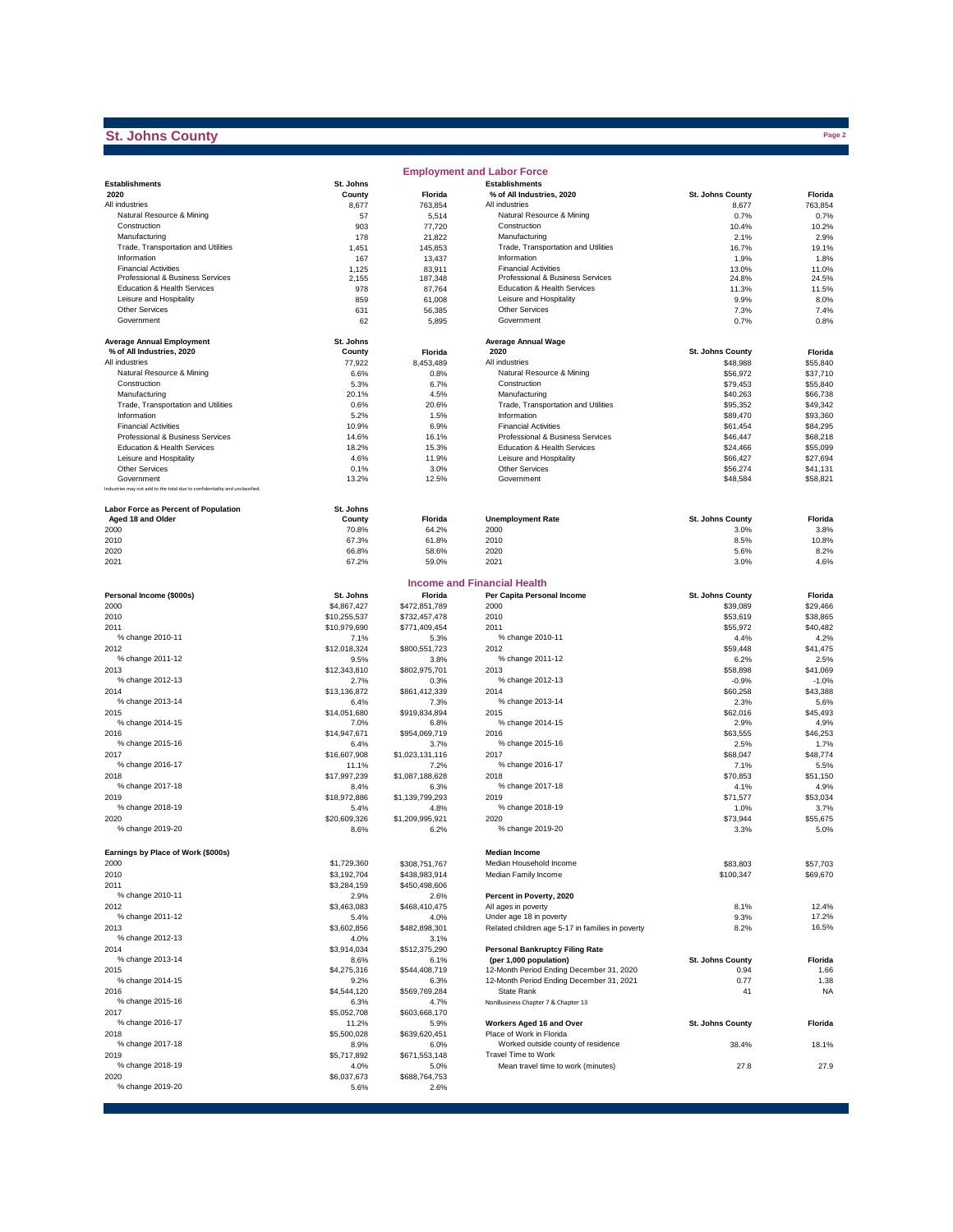# **St. Johns County**

|                                                                              |                      |                       | <b>Employment and Labor Force</b>                               |                      |                      |
|------------------------------------------------------------------------------|----------------------|-----------------------|-----------------------------------------------------------------|----------------------|----------------------|
| <b>Establishments</b>                                                        | St. Johns            |                       | <b>Establishments</b>                                           |                      |                      |
| 2020                                                                         | County               | Florida               | % of All Industries, 2020                                       | St. Johns County     | Florida              |
| All industries                                                               | 8,677                | 763,854               | All industries                                                  | 8,677                | 763,854              |
| Natural Resource & Mining                                                    | 57                   | 5,514                 | Natural Resource & Mining                                       | 0.7%                 | 0.7%                 |
| Construction                                                                 | 903                  | 77,720                | Construction                                                    | 10.4%                | 10.2%                |
| Manufacturing                                                                | 178                  | 21,822                | Manufacturing                                                   | 2.1%                 | 2.9%                 |
| Trade, Transportation and Utilities                                          | 1,451                | 145,853               | Trade, Transportation and Utilities                             | 16.7%                | 19.1%                |
| Information                                                                  | 167                  | 13,437                | Information                                                     | 1.9%                 | 1.8%                 |
| <b>Financial Activities</b><br>Professional & Business Services              | 1,125<br>2,155       | 83,911<br>187,348     | <b>Financial Activities</b><br>Professional & Business Services | 13.0%<br>24.8%       | 11.0%<br>24.5%       |
| Education & Health Services                                                  | 978                  | 87,764                | Education & Health Services                                     | 11.3%                | 11.5%                |
| Leisure and Hospitality                                                      | 859                  | 61,008                | Leisure and Hospitality                                         | 9.9%                 | 8.0%                 |
| Other Services                                                               | 631                  | 56,385                | Other Services                                                  | 7.3%                 | 7.4%                 |
| Government                                                                   | 62                   | 5,895                 | Government                                                      | 0.7%                 | 0.8%                 |
|                                                                              |                      |                       |                                                                 |                      |                      |
| <b>Average Annual Employment</b>                                             | St. Johns            |                       | <b>Average Annual Wage</b>                                      |                      |                      |
| % of All Industries, 2020                                                    | County               | Florida               | 2020                                                            | St. Johns County     | Florida              |
| All industries                                                               | 77,922               | 8,453,489             | All industries                                                  | \$48,988             | \$55,840             |
| Natural Resource & Mining                                                    | 6.6%                 | 0.8%                  | Natural Resource & Mining                                       | \$56,972             | \$37,710             |
| Construction                                                                 | 5.3%                 | 6.7%                  | Construction                                                    | \$79,453             | \$55,840             |
| Manufacturing                                                                | 20.1%                | 4.5%                  | Manufacturing                                                   | \$40,263             | \$66,738             |
| Trade, Transportation and Utilities                                          | 0.6%                 | 20.6%                 | Trade, Transportation and Utilities                             | \$95,352             | \$49,342             |
| Information                                                                  | 5.2%                 | 1.5%                  | Information                                                     | \$89,470             | \$93,360             |
| <b>Financial Activities</b>                                                  | 10.9%                | 6.9%                  | <b>Financial Activities</b>                                     | \$61,454             | \$84,295             |
| Professional & Business Services                                             | 14.6%                | 16.1%                 | Professional & Business Services                                | \$46,447             | \$68,218             |
| Education & Health Services                                                  | 18.2%                | 15.3%                 | Education & Health Services                                     | \$24,466             | \$55,099             |
| Leisure and Hospitality                                                      | 4.6%                 | 11.9%                 | Leisure and Hospitality<br>Other Services                       | \$66,427             | \$27,694             |
| <b>Other Services</b><br>Government                                          | 0.1%<br>13.2%        | 3.0%<br>12.5%         | Government                                                      | \$56,274<br>\$48,584 | \$41,131<br>\$58,821 |
| Industries may not add to the total due to confidentiality and unclassified. |                      |                       |                                                                 |                      |                      |
|                                                                              |                      |                       |                                                                 |                      |                      |
| <b>Labor Force as Percent of Population</b>                                  | St. Johns            |                       |                                                                 |                      |                      |
| Aged 18 and Older                                                            | County               | Florida               | <b>Unemployment Rate</b>                                        | St. Johns County     | Florida              |
| 2000                                                                         | 70.8%                | 64.2%                 | 2000                                                            | 3.0%                 | 3.8%                 |
| 2010                                                                         | 67.3%                | 61.8%                 | 2010                                                            | 8.5%                 | 10.8%                |
| 2020                                                                         | 66.8%                | 58.6%                 | 2020                                                            | 5.6%                 | 8.2%                 |
| 2021                                                                         | 67.2%                | 59.0%                 | 2021                                                            | 3.0%                 | 4.6%                 |
|                                                                              |                      |                       |                                                                 |                      |                      |
|                                                                              |                      |                       | <b>Income and Financial Health</b>                              |                      |                      |
| Personal Income (\$000s)                                                     | St. Johns            | Florida               | Per Capita Personal Income                                      | St. Johns County     | Florida              |
| 2000                                                                         | \$4,867,427          | \$472,851,789         | 2000                                                            | \$39,089             | \$29,466             |
| 2010                                                                         | \$10,255,537         | \$732,457,478         | 2010                                                            | \$53,619             | \$38,865             |
| 2011                                                                         | \$10,979,690         | \$771,409,454         | 2011                                                            | \$55,972             | \$40,482             |
| % change 2010-11                                                             | 7.1%                 | 5.3%                  | % change 2010-11                                                | 4.4%                 | 4.2%                 |
| 2012                                                                         | \$12,018,324         | \$800,551,723         | 2012<br>% change 2011-12                                        | \$59,448             | \$41,475             |
| % change 2011-12                                                             | 9.5%                 | 3.8%                  | 2013                                                            | 6.2%                 | 2.5%                 |
| 2013<br>% change 2012-13                                                     | \$12,343,810         | \$802,975,701         | % change 2012-13                                                | \$58,898             | \$41,069             |
| 2014                                                                         | 2.7%<br>\$13,136,872 | 0.3%                  | 2014                                                            | $-0.9%$<br>\$60,258  | $-1.0%$<br>\$43,388  |
| % change 2013-14                                                             | 6.4%                 | \$861,412,339<br>7.3% | % change 2013-14                                                | 2.3%                 | 5.6%                 |
| 2015                                                                         | \$14,051,680         | \$919,834,894         | 2015                                                            | \$62,016             | \$45,493             |
| % change 2014-15                                                             | 7.0%                 | 6.8%                  | % change 2014-15                                                | 2.9%                 | 4.9%                 |
| 2016                                                                         | \$14,947,671         | \$954,069,719         | 2016                                                            | \$63,555             | \$46,253             |
| % change 2015-16                                                             | 6.4%                 | 3.7%                  | % change 2015-16                                                | 2.5%                 | 1.7%                 |
| 2017                                                                         | \$16,607,908         | \$1,023,131,116       | 2017                                                            | \$68,047             | \$48,774             |
| % change 2016-17                                                             | 11.1%                | 7.2%                  | % change 2016-17                                                | 7.1%                 | 5.5%                 |
| 2018                                                                         | \$17,997,239         | \$1,087,188,628       | 2018                                                            | \$70,853             | \$51,150             |
| % change 2017-18                                                             | 8.4%                 | 6.3%                  | % change 2017-18                                                | 4.1%                 | 4.9%                 |
| 2019                                                                         | \$18,972,886         | \$1,139,799,293       | 2019                                                            | \$71,577             | \$53.034             |
| % change 2018-19                                                             | 5.4%                 | 4.8%                  | % change 2018-19                                                | 1.0%                 | 3.7%                 |
| 2020                                                                         | \$20,609,326         | \$1,209,995,921       | 2020                                                            | \$73,944             | \$55,675             |
| % change 2019-20                                                             | 8.6%                 | 6.2%                  | % change 2019-20                                                | 3.3%                 | 5.0%                 |
|                                                                              |                      |                       |                                                                 |                      |                      |
| Earnings by Place of Work (\$000s)                                           |                      |                       | <b>Median Income</b>                                            |                      |                      |
| 2000                                                                         | \$1,729,360          | \$308,751,767         | Median Household Income                                         | \$83,803             | \$57,703             |
| 2010                                                                         | \$3,192,704          | \$438,983,914         | Median Family Income                                            | \$100,347            | \$69,670             |
| 2011                                                                         | \$3,284,159          | \$450,498,606         |                                                                 |                      |                      |
| % change 2010-11                                                             | 2.9%                 | 2.6%                  | Percent in Poverty, 2020                                        |                      |                      |
| 2012                                                                         | \$3,463,083          | \$468,410,475         | All ages in poverty                                             | 8.1%                 | 12.4%                |
| % change 2011-12                                                             | 5.4%                 | 4.0%                  | Under age 18 in poverty                                         | 9.3%                 | 17.2%                |
| 2013                                                                         | \$3,602,856          | \$482,898,301         | Related children age 5-17 in families in poverty                | 8.2%                 | 16.5%                |
| % change 2012-13                                                             | 4.0%                 | 3.1%                  |                                                                 |                      |                      |
| 2014                                                                         | \$3,914,034          | \$512,375,290         | <b>Personal Bankruptcy Filing Rate</b>                          |                      |                      |
| % change 2013-14                                                             | 8.6%                 | 6.1%                  | (per 1,000 population)                                          | St. Johns County     | Florida              |
| 2015                                                                         | \$4,275,316          | \$544,408,719         | 12-Month Period Ending December 31, 2020                        | 0.94                 | 1.66                 |
| % change 2014-15                                                             | 9.2%                 | 6.3%                  | 12-Month Period Ending December 31, 2021                        | 0.77                 | 1.38                 |
| 2016                                                                         | \$4,544,120          | \$569,769,284         | State Rank                                                      | 41                   | <b>NA</b>            |
| % change 2015-16                                                             | 6.3%                 | 4.7%                  | NonBusiness Chapter 7 & Chapter 13                              |                      |                      |
| 2017<br>% change 2016-17                                                     | \$5,052,708          | \$603,668,170         |                                                                 | St. Johns County     |                      |
| 2018                                                                         | 11.2%                | 5.9%                  | Workers Aged 16 and Over<br>Place of Work in Florida            |                      | Florida              |
| % change 2017-18                                                             | \$5,500,028          | \$639,620,451         | Worked outside county of residence                              | 38.4%                | 18.1%                |
| 2019                                                                         | 8.9%<br>\$5,717,892  | 6.0%<br>\$671,553,148 | Travel Time to Work                                             |                      |                      |
| % change 2018-19                                                             | 4.0%                 | 5.0%                  | Mean travel time to work (minutes)                              | 27.8                 | 27.9                 |
| 2020                                                                         | \$6,037,673          | \$688,764,753         |                                                                 |                      |                      |
| % change 2019-20                                                             | 5.6%                 | 2.6%                  |                                                                 |                      |                      |
|                                                                              |                      |                       |                                                                 |                      |                      |